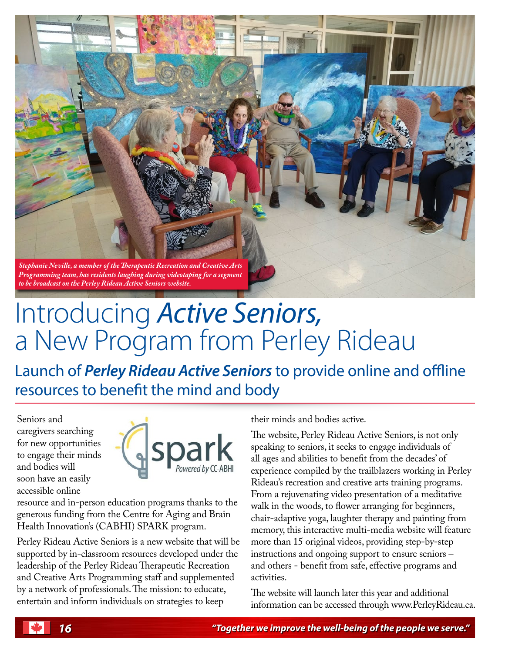

## Introducing *Active Seniors,* a New Program from Perley Rideau

Launch of *Perley Rideau Active Seniors* to provide online and offline resources to beneft the mind and body

Seniors and caregivers searching for new opportunities to engage their minds and bodies will soon have an easily accessible online



resource and in-person education programs thanks to the generous funding from the Centre for Aging and Brain Health Innovation's (CABHI) SPARK program.

Perley Rideau Active Seniors is a new website that will be supported by in-classroom resources developed under the leadership of the Perley Rideau Therapeutic Recreation and Creative Arts Programming staff and supplemented by a network of professionals. The mission: to educate, entertain and inform individuals on strategies to keep

their minds and bodies active.

The website, Perley Rideau Active Seniors, is not only speaking to seniors, it seeks to engage individuals of all ages and abilities to beneft from the decades' of experience compiled by the trailblazers working in Perley Rideau's recreation and creative arts training programs. From a rejuvenating video presentation of a meditative walk in the woods, to flower arranging for beginners, chair-adaptive yoga, laughter therapy and painting from memory, this interactive multi-media website will feature more than 15 original videos, providing step-by-step instructions and ongoing support to ensure seniors – and others - beneft from safe, efective programs and activities.

The website will launch later this year and additional information can be accessed through www.PerleyRideau.ca.